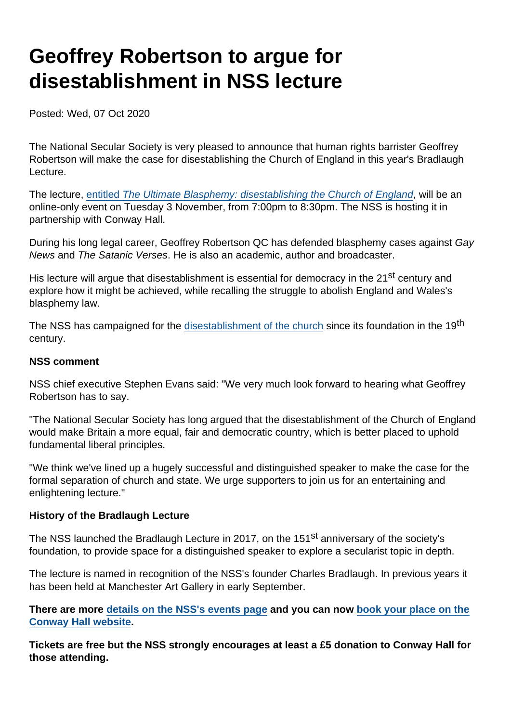# Geoffrey Robertson to argue for disestablishment in NSS lecture

Posted: Wed, 07 Oct 2020

The National Secular Society is very pleased to announce that human rights barrister Geoffrey Robertson will make the case for disestablishing the Church of England in this year's Bradlaugh Lecture.

The lecture, [entitled The Ultimate Blasphemy: disestablishing the Church of England,](https://www.secularism.org.uk/ultimate-blasphemy.html) will be an online-only event on Tuesday 3 November, from 7:00pm to 8:30pm. The NSS is hosting it in partnership with Conway Hall.

During his long legal career, Geoffrey Robertson QC has defended blasphemy cases against Gay News and The Satanic Verses. He is also an academic, author and broadcaster.

His lecture will argue that disestablishment is essential for democracy in the 21<sup>st</sup> century and explore how it might be achieved, while recalling the struggle to abolish England and Wales's blasphemy law.

The NSS has campaigned for the [disestablishment of the church](https://www.secularism.org.uk/disestablishment/) since its foundation in the 19<sup>th</sup> century.

#### NSS comment

NSS chief executive Stephen Evans said: "We very much look forward to hearing what Geoffrey Robertson has to say.

"The National Secular Society has long argued that the disestablishment of the Church of England would make Britain a more equal, fair and democratic country, which is better placed to uphold fundamental liberal principles.

"We think we've lined up a hugely successful and distinguished speaker to make the case for the formal separation of church and state. We urge supporters to join us for an entertaining and enlightening lecture."

#### History of the Bradlaugh Lecture

The NSS launched the Bradlaugh Lecture in 2017, on the 151<sup>st</sup> anniversary of the society's foundation, to provide space for a distinguished speaker to explore a secularist topic in depth.

The lecture is named in recognition of the NSS's founder Charles Bradlaugh. In previous years it has been held at Manchester Art Gallery in early September.

There are more [details on the NSS's events page](https://www.secularism.org.uk/ultimate-blasphemy.html) and you can now [book your place on the](https://conwayhall.ticketsolve.com/shows/1173605070) [Conway Hall website](https://conwayhall.ticketsolve.com/shows/1173605070) .

Tickets are free but the NSS strongly encourages at least a £5 donation to Conway Hall for those attending.